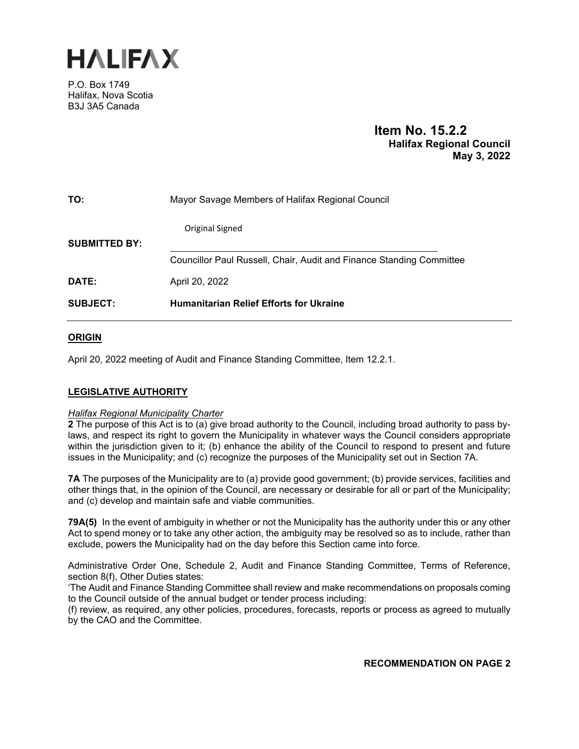

P.O. Box 1749 Halifax, Nova Scotia B3J 3A5 Canada

# **Item No. 15.2.2 Halifax Regional Council May 3, 2022**

| <b>SUBJECT:</b>      | <b>Humanitarian Relief Efforts for Ukraine</b>                       |  |
|----------------------|----------------------------------------------------------------------|--|
| DATE:                | April 20, 2022                                                       |  |
|                      | Councillor Paul Russell, Chair, Audit and Finance Standing Committee |  |
| <b>SUBMITTED BY:</b> | Original Signed                                                      |  |
| TO:                  | Mayor Savage Members of Halifax Regional Council                     |  |

# **ORIGIN**

April 20, 2022 meeting of Audit and Finance Standing Committee, Item 12.2.1.

# **LEGISLATIVE AUTHORITY**

# *Halifax Regional Municipality Charter*

**2** The purpose of this Act is to (a) give broad authority to the Council, including broad authority to pass bylaws, and respect its right to govern the Municipality in whatever ways the Council considers appropriate within the jurisdiction given to it; (b) enhance the ability of the Council to respond to present and future issues in the Municipality; and (c) recognize the purposes of the Municipality set out in Section 7A.

**7A** The purposes of the Municipality are to (a) provide good government; (b) provide services, facilities and other things that, in the opinion of the Council, are necessary or desirable for all or part of the Municipality; and (c) develop and maintain safe and viable communities.

**79A(5)** In the event of ambiguity in whether or not the Municipality has the authority under this or any other Act to spend money or to take any other action, the ambiguity may be resolved so as to include, rather than exclude, powers the Municipality had on the day before this Section came into force.

Administrative Order One, Schedule 2, Audit and Finance Standing Committee, Terms of Reference, section 8(f), Other Duties states:

'The Audit and Finance Standing Committee shall review and make recommendations on proposals coming to the Council outside of the annual budget or tender process including:

(f) review, as required, any other policies, procedures, forecasts, reports or process as agreed to mutually by the CAO and the Committee.

**RECOMMENDATION ON PAGE 2**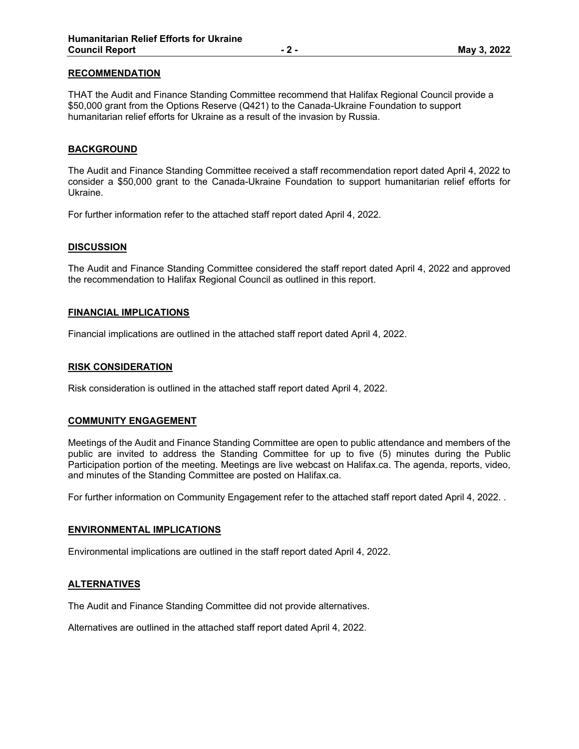# **RECOMMENDATION**

THAT the Audit and Finance Standing Committee recommend that Halifax Regional Council provide a \$50,000 grant from the Options Reserve (Q421) to the Canada-Ukraine Foundation to support humanitarian relief efforts for Ukraine as a result of the invasion by Russia.

### **BACKGROUND**

The Audit and Finance Standing Committee received a staff recommendation report dated April 4, 2022 to consider a \$50,000 grant to the Canada-Ukraine Foundation to support humanitarian relief efforts for Ukraine.

For further information refer to the attached staff report dated April 4, 2022.

#### **DISCUSSION**

The Audit and Finance Standing Committee considered the staff report dated April 4, 2022 and approved the recommendation to Halifax Regional Council as outlined in this report.

#### **FINANCIAL IMPLICATIONS**

Financial implications are outlined in the attached staff report dated April 4, 2022.

#### **RISK CONSIDERATION**

Risk consideration is outlined in the attached staff report dated April 4, 2022.

#### **COMMUNITY ENGAGEMENT**

Meetings of the Audit and Finance Standing Committee are open to public attendance and members of the public are invited to address the Standing Committee for up to five (5) minutes during the Public Participation portion of the meeting. Meetings are live webcast on Halifax.ca. The agenda, reports, video, and minutes of the Standing Committee are posted on Halifax.ca.

For further information on Community Engagement refer to the attached staff report dated April 4, 2022. .

#### **ENVIRONMENTAL IMPLICATIONS**

Environmental implications are outlined in the staff report dated April 4, 2022.

#### **ALTERNATIVES**

The Audit and Finance Standing Committee did not provide alternatives.

Alternatives are outlined in the attached staff report dated April 4, 2022.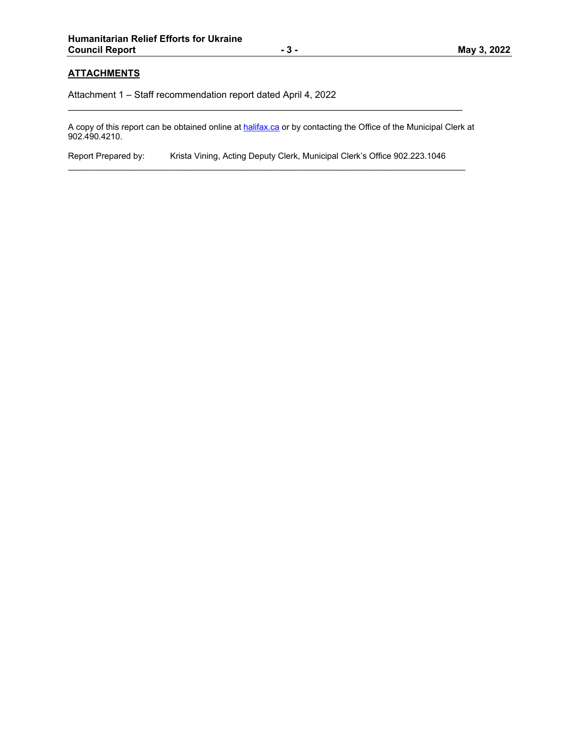# **ATTACHMENTS**

Attachment 1 – Staff recommendation report dated April 4, 2022

A copy of this report can be obtained online at halifax.ca or by contacting the Office of the Municipal Clerk at 902.490.4210.

 $\mathcal{L}_\mathcal{L} = \{ \mathcal{L}_\mathcal{L} = \{ \mathcal{L}_\mathcal{L} = \{ \mathcal{L}_\mathcal{L} = \{ \mathcal{L}_\mathcal{L} = \{ \mathcal{L}_\mathcal{L} = \{ \mathcal{L}_\mathcal{L} = \{ \mathcal{L}_\mathcal{L} = \{ \mathcal{L}_\mathcal{L} = \{ \mathcal{L}_\mathcal{L} = \{ \mathcal{L}_\mathcal{L} = \{ \mathcal{L}_\mathcal{L} = \{ \mathcal{L}_\mathcal{L} = \{ \mathcal{L}_\mathcal{L} = \{ \mathcal{L}_\mathcal{$ 

Report Prepared by: Krista Vining, Acting Deputy Clerk, Municipal Clerk's Office 902.223.1046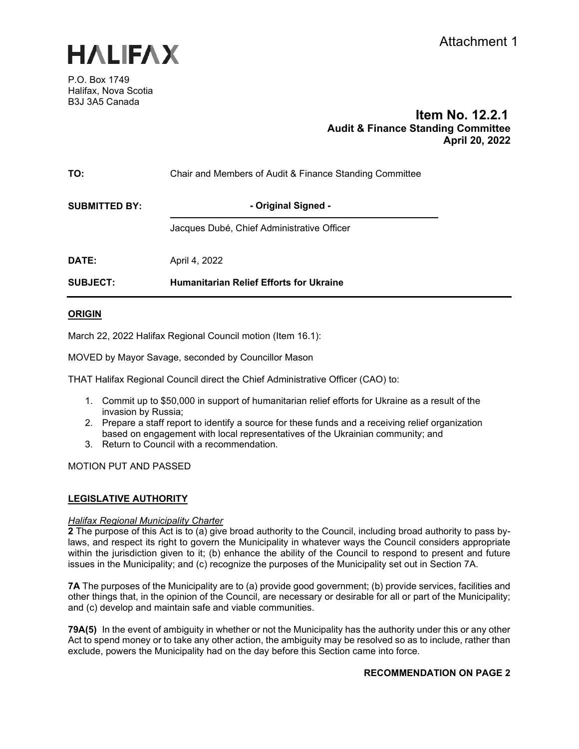

P.O. Box 1749 Halifax, Nova Scotia B3J 3A5 Canada

# **Item No. 12.2.1 Audit & Finance Standing Committee April 20, 2022**

| TO:                  | Chair and Members of Audit & Finance Standing Committee |  |
|----------------------|---------------------------------------------------------|--|
| <b>SUBMITTED BY:</b> | - Original Signed -                                     |  |
|                      | Jacques Dubé, Chief Administrative Officer              |  |
| DATE:                | April 4, 2022                                           |  |
| <b>SUBJECT:</b>      | <b>Humanitarian Relief Efforts for Ukraine</b>          |  |
|                      |                                                         |  |

# **ORIGIN**

March 22, 2022 Halifax Regional Council motion (Item 16.1):

MOVED by Mayor Savage, seconded by Councillor Mason

THAT Halifax Regional Council direct the Chief Administrative Officer (CAO) to:

- 1. Commit up to \$50,000 in support of humanitarian relief efforts for Ukraine as a result of the invasion by Russia;
- 2. Prepare a staff report to identify a source for these funds and a receiving relief organization based on engagement with local representatives of the Ukrainian community; and
- 3. Return to Council with a recommendation.

MOTION PUT AND PASSED

# **LEGISLATIVE AUTHORITY**

# *Halifax Regional Municipality Charter*

**2** The purpose of this Act is to (a) give broad authority to the Council, including broad authority to pass bylaws, and respect its right to govern the Municipality in whatever ways the Council considers appropriate within the jurisdiction given to it; (b) enhance the ability of the Council to respond to present and future issues in the Municipality; and (c) recognize the purposes of the Municipality set out in Section 7A.

**7A** The purposes of the Municipality are to (a) provide good government; (b) provide services, facilities and other things that, in the opinion of the Council, are necessary or desirable for all or part of the Municipality; and (c) develop and maintain safe and viable communities.

**79A(5)** In the event of ambiguity in whether or not the Municipality has the authority under this or any other Act to spend money or to take any other action, the ambiguity may be resolved so as to include, rather than exclude, powers the Municipality had on the day before this Section came into force.

# **RECOMMENDATION ON PAGE 2**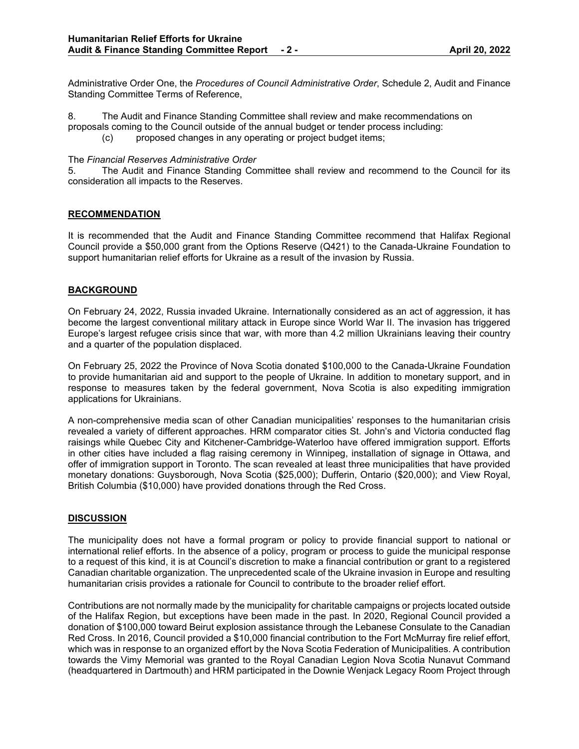Administrative Order One, the *Procedures of Council Administrative Order*, Schedule 2, Audit and Finance Standing Committee Terms of Reference,

8. The Audit and Finance Standing Committee shall review and make recommendations on proposals coming to the Council outside of the annual budget or tender process including:

(c) proposed changes in any operating or project budget items;

The *Financial Reserves Administrative Order*

5. The Audit and Finance Standing Committee shall review and recommend to the Council for its consideration all impacts to the Reserves.

# **RECOMMENDATION**

It is recommended that the Audit and Finance Standing Committee recommend that Halifax Regional Council provide a \$50,000 grant from the Options Reserve (Q421) to the Canada-Ukraine Foundation to support humanitarian relief efforts for Ukraine as a result of the invasion by Russia.

# **BACKGROUND**

On February 24, 2022, Russia invaded Ukraine. Internationally considered as an act of aggression, it has become the largest conventional military attack in Europe since World War II. The invasion has triggered Europe's largest refugee crisis since that war, with more than 4.2 million Ukrainians leaving their country and a quarter of the population displaced.

On February 25, 2022 the Province of Nova Scotia donated \$100,000 to the Canada-Ukraine Foundation to provide humanitarian aid and support to the people of Ukraine. In addition to monetary support, and in response to measures taken by the federal government, Nova Scotia is also expediting immigration applications for Ukrainians.

A non-comprehensive media scan of other Canadian municipalities' responses to the humanitarian crisis revealed a variety of different approaches. HRM comparator cities St. John's and Victoria conducted flag raisings while Quebec City and Kitchener-Cambridge-Waterloo have offered immigration support. Efforts in other cities have included a flag raising ceremony in Winnipeg, installation of signage in Ottawa, and offer of immigration support in Toronto. The scan revealed at least three municipalities that have provided monetary donations: Guysborough, Nova Scotia (\$25,000); Dufferin, Ontario (\$20,000); and View Royal, British Columbia (\$10,000) have provided donations through the Red Cross.

# **DISCUSSION**

The municipality does not have a formal program or policy to provide financial support to national or international relief efforts. In the absence of a policy, program or process to guide the municipal response to a request of this kind, it is at Council's discretion to make a financial contribution or grant to a registered Canadian charitable organization. The unprecedented scale of the Ukraine invasion in Europe and resulting humanitarian crisis provides a rationale for Council to contribute to the broader relief effort.

Contributions are not normally made by the municipality for charitable campaigns or projects located outside of the Halifax Region, but exceptions have been made in the past. In 2020, Regional Council provided a donation of \$100,000 toward Beirut explosion assistance through the Lebanese Consulate to the Canadian Red Cross. In 2016, Council provided a \$10,000 financial contribution to the Fort McMurray fire relief effort, which was in response to an organized effort by the Nova Scotia Federation of Municipalities. A contribution towards the Vimy Memorial was granted to the Royal Canadian Legion Nova Scotia Nunavut Command (headquartered in Dartmouth) and HRM participated in the Downie Wenjack Legacy Room Project through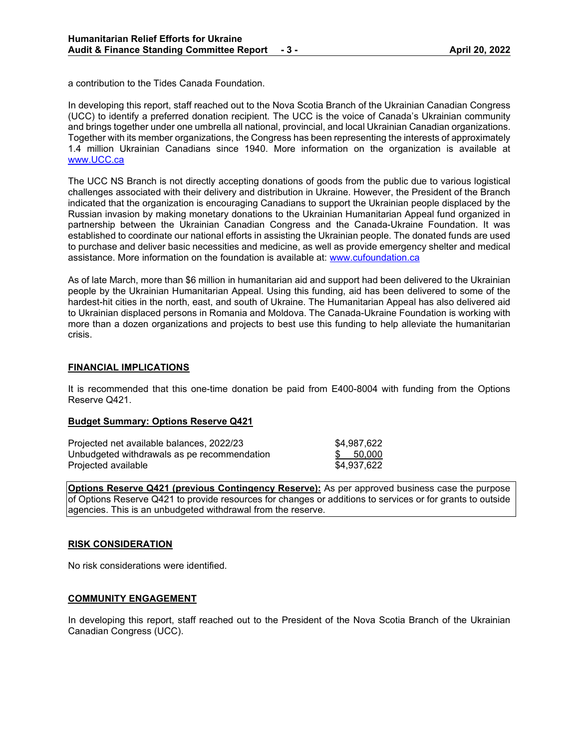a contribution to the Tides Canada Foundation.

In developing this report, staff reached out to the Nova Scotia Branch of the Ukrainian Canadian Congress (UCC) to identify a preferred donation recipient. The UCC is the voice of Canada's Ukrainian community and brings together under one umbrella all national, provincial, and local Ukrainian Canadian organizations. Together with its member organizations, the Congress has been representing the interests of approximately 1.4 million Ukrainian Canadians since 1940. More information on the organization is available at [www.UCC.ca](http://www.ucc.ca/)

The UCC NS Branch is not directly accepting donations of goods from the public due to various logistical challenges associated with their delivery and distribution in Ukraine. However, the President of the Branch indicated that the organization is encouraging Canadians to support the Ukrainian people displaced by the Russian invasion by making monetary donations to the Ukrainian Humanitarian Appeal fund organized in partnership between the Ukrainian Canadian Congress and the Canada-Ukraine Foundation. It was established to coordinate our national efforts in assisting the Ukrainian people. The donated funds are used to purchase and deliver basic necessities and medicine, as well as provide emergency shelter and medical assistance. More information on the foundation is available at: [www.cufoundation.ca](http://www.cufoundation.ca/)

As of late March, more than \$6 million in humanitarian aid and support had been delivered to the Ukrainian people by the Ukrainian Humanitarian Appeal. Using this funding, aid has been delivered to some of the hardest-hit cities in the north, east, and south of Ukraine. The Humanitarian Appeal has also delivered aid to Ukrainian displaced persons in Romania and Moldova. The Canada-Ukraine Foundation is working with more than a dozen organizations and projects to best use this funding to help alleviate the humanitarian crisis.

# **FINANCIAL IMPLICATIONS**

It is recommended that this one-time donation be paid from E400-8004 with funding from the Options Reserve Q421.

# **Budget Summary: Options Reserve Q421**

| Projected net available balances, 2022/23   | \$4,987,622 |
|---------------------------------------------|-------------|
| Unbudgeted withdrawals as pe recommendation | \$ 50,000   |
| Projected available                         | \$4.937.622 |

**Options Reserve Q421 (previous Contingency Reserve):** As per approved business case the purpose of Options Reserve Q421 to provide resources for changes or additions to services or for grants to outside agencies. This is an unbudgeted withdrawal from the reserve.

# **RISK CONSIDERATION**

No risk considerations were identified.

# **COMMUNITY ENGAGEMENT**

In developing this report, staff reached out to the President of the Nova Scotia Branch of the Ukrainian Canadian Congress (UCC).